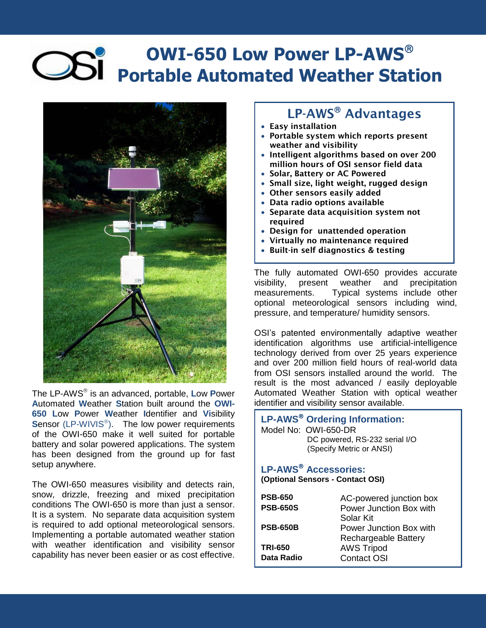## **OWI-650 Low Power LP-AWS Portable Automated Weather Station**



The LP-AWS is an advanced, portable, **L**ow **P**ower **A**utomated **W**eather **S**tation built around the **OWI-650 L**ow **P**ower **W**eather **I**dentifier and **Vi**sibility Sensor (LP-WIVIS<sup>®</sup>). The low power requirements of the OWI-650 make it well suited for portable battery and solar powered applications. The system has been designed from the ground up for fast setup anywhere.

The OWI-650 measures visibility and detects rain, snow, drizzle, freezing and mixed precipitation conditions The OWI-650 is more than just a sensor. It is a system. No separate data acquisition system is required to add optional meteorological sensors. Implementing a portable automated weather station with weather identification and visibility sensor capability has never been easier or as cost effective.

## **LP-AWS Advantages**

- **Easy installation**
- **Portable system which reports present weather and visibility**
- **Intelligent algorithms based on over 200 million hours of OSI sensor field data**
- **Solar, Battery or AC Powered**
- **Small size, light weight, rugged design**
- **Other sensors easily added**
- **Data radio options available**
- **Separate data acquisition system not required**
- **Design for unattended operation**
- **Virtually no maintenance required**
- **Built-in self diagnostics & testing**

The fully automated OWI-650 provides accurate visibility, present weather and precipitation measurements. Typical systems include other optional meteorological sensors including wind, pressure, and temperature/ humidity sensors.

OSI's patented environmentally adaptive weather identification algorithms use artificial-intelligence technology derived from over 25 years experience and over 200 million field hours of real-world data from OSI sensors installed around the world. The result is the most advanced / easily deployable Automated Weather Station with optical weather identifier and visibility sensor available.

| LP-AWS <sup>®</sup> Ordering Information:<br>Model No: OWI-650-DR<br>DC powered, RS-232 serial I/O<br>(Specify Metric or ANSI) |                         |  |
|--------------------------------------------------------------------------------------------------------------------------------|-------------------------|--|
| <b>LP-AWS<sup>®</sup></b> Accessories:<br>(Optional Sensors - Contact OSI)                                                     |                         |  |
| <b>PSB-650</b>                                                                                                                 | AC-powered junction box |  |
| <b>PSB-650S</b>                                                                                                                | Power Junction Box with |  |
|                                                                                                                                | Solar Kit               |  |
| <b>PSB-650B</b>                                                                                                                | Power Junction Box with |  |
|                                                                                                                                | Rechargeable Battery    |  |
| <b>TRI-650</b>                                                                                                                 | <b>AWS Tripod</b>       |  |
| Data Radio                                                                                                                     | Contact OSI             |  |